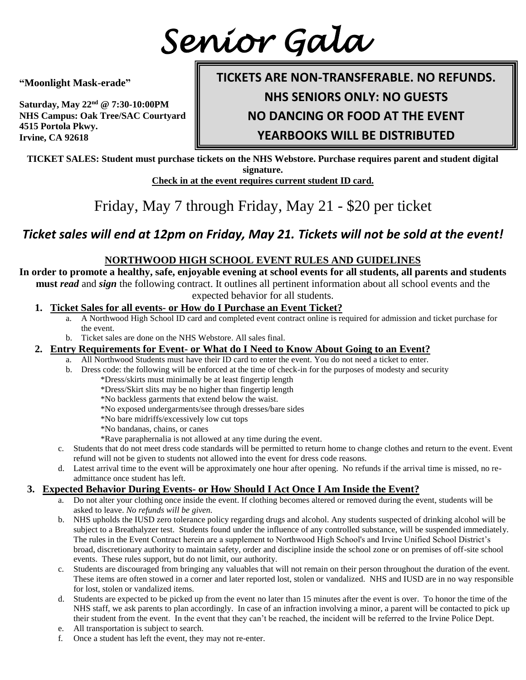*Senior Gala*

**"Moonlight Mask-erade"**

**Saturday, May 22nd @ 7:30-10:00PM NHS Campus: Oak Tree/SAC Courtyard 4515 Portola Pkwy. Irvine, CA 92618**

# **TICKETS ARE NON-TRANSFERABLE. NO REFUNDS.**

**NHS SENIORS ONLY: NO GUESTS**

**NO DANCING OR FOOD AT THE EVENT**

**YEARBOOKS WILL BE DISTRIBUTED**

**TICKET SALES: Student must purchase tickets on the NHS Webstore. Purchase requires parent and student digital signature.**

**Check in at the event requires current student ID card.**

Friday, May 7 through Friday, May 21 - \$20 per ticket

## *Ticket sales will end at 12pm on Friday, May 21. Tickets will not be sold at the event!*

#### **NORTHWOOD HIGH SCHOOL EVENT RULES AND GUIDELINES**

**In order to promote a healthy, safe, enjoyable evening at school events for all students, all parents and students must** *read* and *sign* the following contract. It outlines all pertinent information about all school events and the expected behavior for all students.

- **1. Ticket Sales for all events- or How do I Purchase an Event Ticket?**
	- a. A Northwood High School ID card and completed event contract online is required for admission and ticket purchase for the event.
	- b. Ticket sales are done on the NHS Webstore. All sales final.
- **2. Entry Requirements for Event- or What do I Need to Know About Going to an Event?**
	- a. All Northwood Students must have their ID card to enter the event. You do not need a ticket to enter.
	- b. Dress code: the following will be enforced at the time of check-in for the purposes of modesty and security
		- \*Dress/skirts must minimally be at least fingertip length
		- \*Dress/Skirt slits may be no higher than fingertip length
		- \*No backless garments that extend below the waist.
		- \*No exposed undergarments/see through dresses/bare sides
		- \*No bare midriffs/excessively low cut tops
		- \*No bandanas, chains, or canes
		- \*Rave paraphernalia is not allowed at any time during the event.
	- c. Students that do not meet dress code standards will be permitted to return home to change clothes and return to the event. Event refund will not be given to students not allowed into the event for dress code reasons.
	- d. Latest arrival time to the event will be approximately one hour after opening. No refunds if the arrival time is missed, no readmittance once student has left.

#### **3. Expected Behavior During Events- or How Should I Act Once I Am Inside the Event?**

- a. Do not alter your clothing once inside the event. If clothing becomes altered or removed during the event, students will be asked to leave. *No refunds will be given.*
- b. NHS upholds the IUSD zero tolerance policy regarding drugs and alcohol. Any students suspected of drinking alcohol will be subject to a Breathalyzer test. Students found under the influence of any controlled substance, will be suspended immediately. The rules in the Event Contract herein are a supplement to Northwood High School's and Irvine Unified School District's broad, discretionary authority to maintain safety, order and discipline inside the school zone or on premises of off-site school events. These rules support, but do not limit, our authority.
- c. Students are discouraged from bringing any valuables that will not remain on their person throughout the duration of the event. These items are often stowed in a corner and later reported lost, stolen or vandalized. NHS and IUSD are in no way responsible for lost, stolen or vandalized items.
- d. Students are expected to be picked up from the event no later than 15 minutes after the event is over. To honor the time of the NHS staff, we ask parents to plan accordingly. In case of an infraction involving a minor, a parent will be contacted to pick up their student from the event. In the event that they can't be reached, the incident will be referred to the Irvine Police Dept.
- e. All transportation is subject to search.
- f. Once a student has left the event, they may not re-enter.